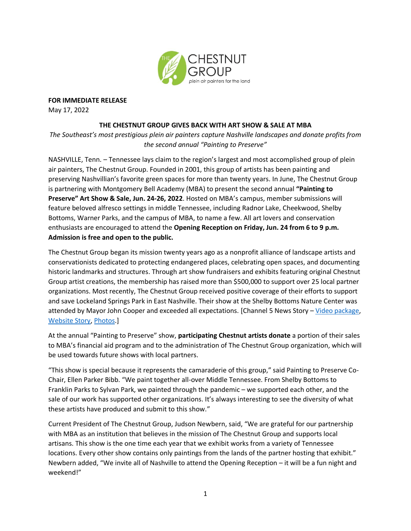

**FOR IMMEDIATE RELEASE**

May 17, 2022

## **THE CHESTNUT GROUP GIVES BACK WITH ART SHOW & SALE AT MBA**

*The Southeast's most prestigious plein air painters capture Nashville landscapes and donate profits from the second annual "Painting to Preserve"*

NASHVILLE, Tenn. – Tennessee lays claim to the region's largest and most accomplished group of plein air painters, The Chestnut Group. Founded in 2001, this group of artists has been painting and preserving Nashvillian's favorite green spaces for more than twenty years. In June, The Chestnut Group is partnering with Montgomery Bell Academy (MBA) to present the second annual **"Painting to Preserve" Art Show & Sale, Jun. 24-26, 2022**. Hosted on MBA's campus, member submissions will feature beloved alfresco settings in middle Tennessee, including Radnor Lake, Cheekwood, Shelby Bottoms, Warner Parks, and the campus of MBA, to name a few. All art lovers and conservation enthusiasts are encouraged to attend the **Opening Reception on Friday, Jun. 24 from 6 to 9 p.m. Admission is free and open to the public.** 

The Chestnut Group began its mission twenty years ago as a nonprofit alliance of landscape artists and conservationists dedicated to protecting endangered places, celebrating open spaces, and documenting historic landmarks and structures. Through art show fundraisers and exhibits featuring original Chestnut Group artist creations, the membership has raised more than \$500,000 to support over 25 local partner organizations. Most recently, The Chestnut Group received positive coverage of their efforts to support and save Lockeland Springs Park in East Nashville. Their show at the Shelby Bottoms Nature Center was attended by Mayor John Cooper and exceeded all expectations. [Channel 5 News Story – [Video package,](https://www.facebook.com/ckopsky/videos/1626008054432595) [Website Story,](https://www.newschannel5.com/search?q=artists) [Photos.](https://www.facebook.com/Chestnut.Group/photos/pcb.5346761622024993/5346745842026571/)]

At the annual "Painting to Preserve" show, **participating Chestnut artists donate** a portion of their sales to MBA's financial aid program and to the administration of The Chestnut Group organization, which will be used towards future shows with local partners.

"This show is special because it represents the camaraderie of this group," said Painting to Preserve Co-Chair, Ellen Parker Bibb. "We paint together all-over Middle Tennessee. From Shelby Bottoms to Franklin Parks to Sylvan Park, we painted through the pandemic – we supported each other, and the sale of our work has supported other organizations. It's always interesting to see the diversity of what these artists have produced and submit to this show."

Current President of The Chestnut Group, Judson Newbern, said, "We are grateful for our partnership with MBA as an institution that believes in the mission of The Chestnut Group and supports local artisans. This show is the one time each year that we exhibit works from a variety of Tennessee locations. Every other show contains only paintings from the lands of the partner hosting that exhibit." Newbern added, "We invite all of Nashville to attend the Opening Reception – it will be a fun night and weekend!"